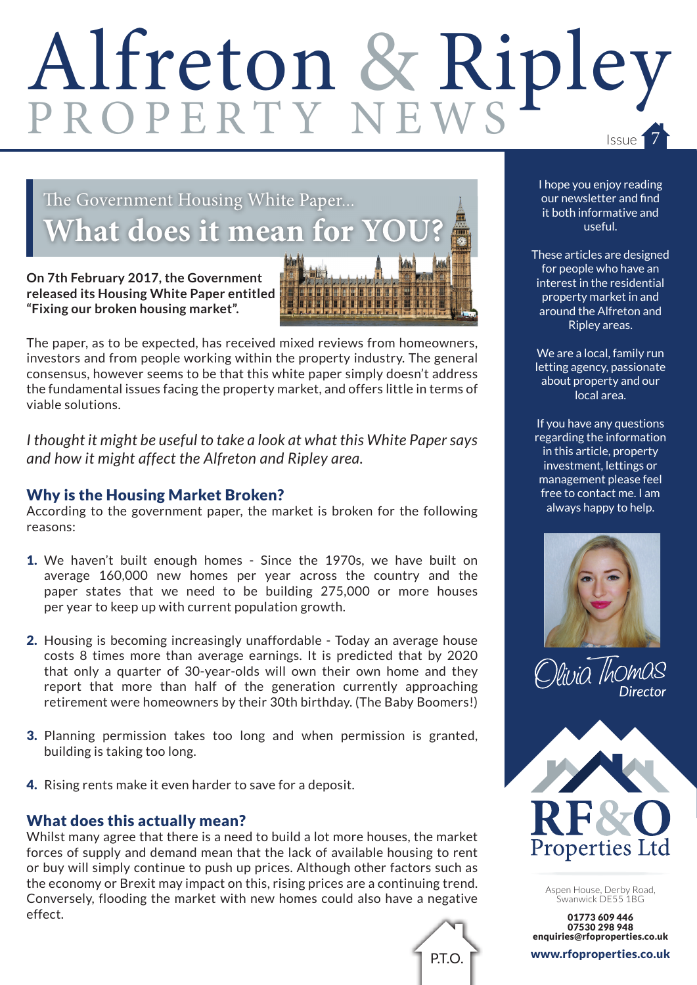# Alfreton & Ripley

### The Government Housing White Paper... **hat does it mean for YO**

**On 7th February 2017, the Government released its Housing White Paper entitled "Fixing our broken housing market".**



The paper, as to be expected, has received mixed reviews from homeowners, investors and from people working within the property industry. The general consensus, however seems to be that this white paper simply doesn't address the fundamental issues facing the property market, and offers little in terms of viable solutions.

*I thought it might be useful to take a look at what this White Paper says and how it might affect the Alfreton and Ripley area.*

#### Why is the Housing Market Broken?

According to the government paper, the market is broken for the following reasons:

- 1. We haven't built enough homes Since the 1970s, we have built on average 160,000 new homes per year across the country and the paper states that we need to be building 275,000 or more houses per year to keep up with current population growth.
- 2. Housing is becoming increasingly unaffordable Today an average house costs 8 times more than average earnings. It is predicted that by 2020 that only a quarter of 30-year-olds will own their own home and they report that more than half of the generation currently approaching retirement were homeowners by their 30th birthday. (The Baby Boomers!)
- 3. Planning permission takes too long and when permission is granted, building is taking too long.
- 4. Rising rents make it even harder to save for a deposit.

#### What does this actually mean?

Whilst many agree that there is a need to build a lot more houses, the market forces of supply and demand mean that the lack of available housing to rent or buy will simply continue to push up prices. Although other factors such as the economy or Brexit may impact on this, rising prices are a continuing trend. Conversely, flooding the market with new homes could also have a negative effect.



I hope you enjoy reading our newsletter and find it both informative and useful.

These articles are designed for people who have an interest in the residential property market in and around the Alfreton and Ripley areas.

We are a local, family run letting agency, passionate about property and our local area.

If you have any questions regarding the information in this article, property investment, lettings or management please feel free to contact me. I am always happy to help.







Aspen House, Derby Road, Swanwick DE55 1BG

01773 609 446 07530 298 948 enquiries@rfoproperties.co.uk

www.rfoproperties.co.uk